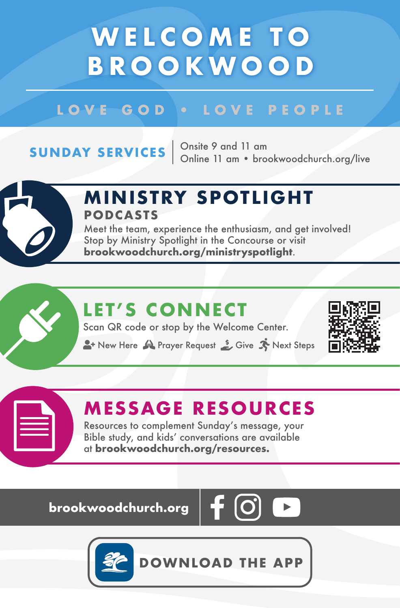## **WELCOME TO BROOKWOOD**

#### LOVE GOD . LOVE PEOPLE

**SUNDAY SERVICES**  $\begin{array}{r}$  Onsite 9 and 11 am<br>Online 11 am • brookwoodchurch.org/live



#### **M IN ISTRY SPOTL IGHT PODCASTS**

Meet the team, experience the enthusiasm, and get involved! Stop by Ministry Spotlight in the Concourse or visit **brookwoodchurch.org/ministryspotlight**.

### **LET'S CONNECT**

Scan QR code or stop by the Welcome Center.

**A**+ New Here **Prayer Request** Street Steps



#### **MESSAGE RESOURCES**

Resources to complement Sunday's message, your Bible study, and kids' conversations are available at **brookwoodchurch.org/resources.**

**brookwoodchurch.org** 





**DOWNLOAD THE APP**